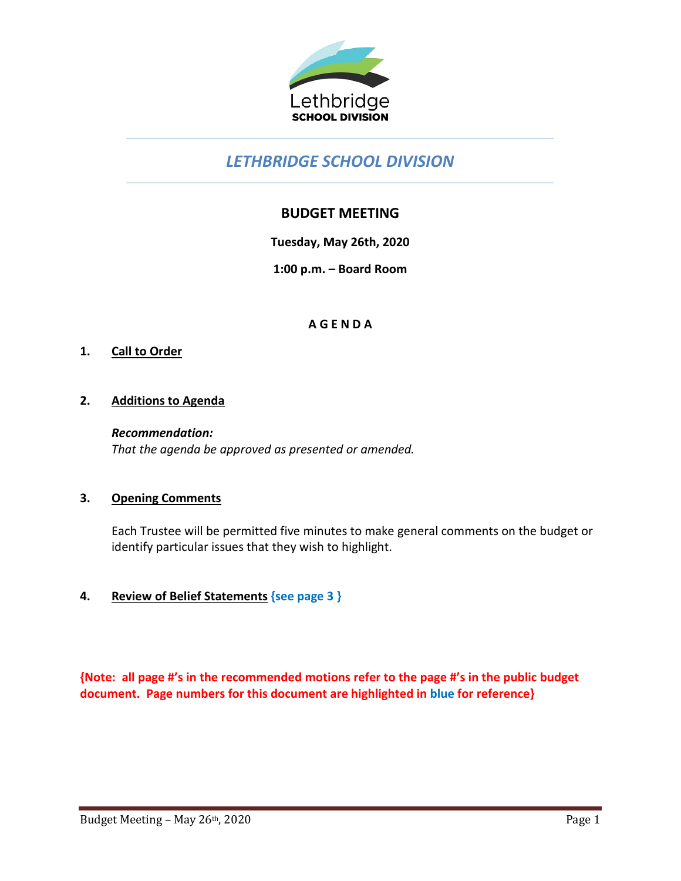

# *LETHBRIDGE SCHOOL DIVISION*

# **BUDGET MEETING**

**Tuesday, May 26th, 2020**

**1:00 p.m. – Board Room**

# **A G E N D A**

#### **1. Call to Order**

#### **2. Additions to Agenda**

*Recommendation: That the agenda be approved as presented or amended.*

#### **3. Opening Comments**

Each Trustee will be permitted five minutes to make general comments on the budget or identify particular issues that they wish to highlight.

# **4. Review of Belief Statements {see page 3 }**

**{Note: all page #'s in the recommended motions refer to the page #'s in the public budget document. Page numbers for this document are highlighted in blue for reference}**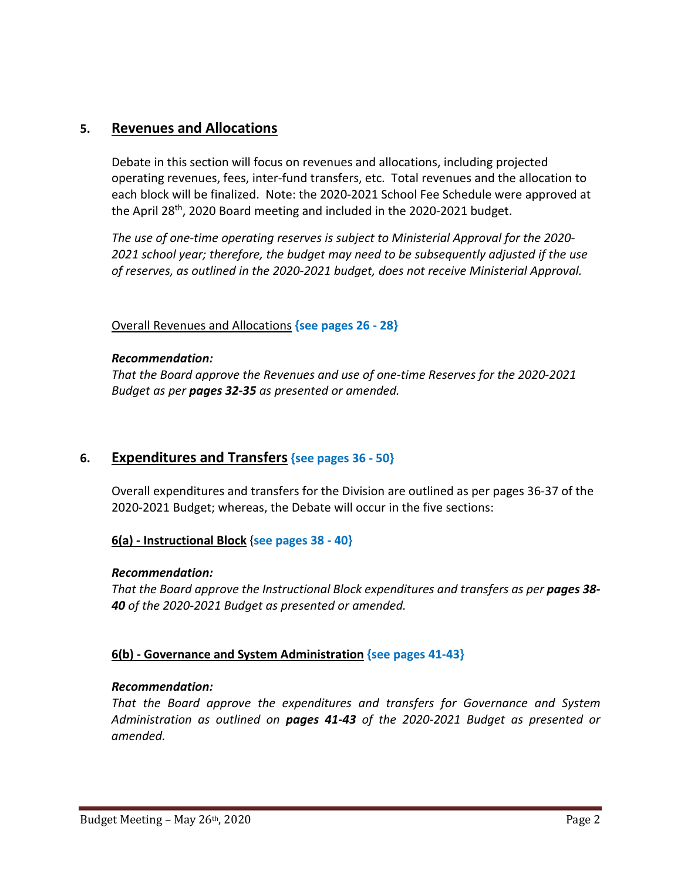# **5. Revenues and Allocations**

Debate in this section will focus on revenues and allocations, including projected operating revenues, fees, inter-fund transfers, etc. Total revenues and the allocation to each block will be finalized. Note: the 2020-2021 School Fee Schedule were approved at the April 28th, 2020 Board meeting and included in the 2020-2021 budget.

*The use of one-time operating reserves is subject to Ministerial Approval for the 2020- 2021 school year; therefore, the budget may need to be subsequently adjusted if the use of reserves, as outlined in the 2020-2021 budget, does not receive Ministerial Approval.*

#### Overall Revenues and Allocations **{see pages 26 - 28}**

#### *Recommendation:*

*That the Board approve the Revenues and use of one-time Reserves for the 2020-2021 Budget as per pages 32-35 as presented or amended.*

# **6. Expenditures and Transfers {see pages 36 - 50}**

Overall expenditures and transfers for the Division are outlined as per pages 36-37 of the 2020-2021 Budget; whereas, the Debate will occur in the five sections:

# **6(a) - Instructional Block** {**see pages 38 - 40}**

#### *Recommendation:*

*That the Board approve the Instructional Block expenditures and transfers as per pages 38- 40 of the 2020-2021 Budget as presented or amended.*

#### **6(b) - Governance and System Administration {see pages 41-43}**

#### *Recommendation:*

*That the Board approve the expenditures and transfers for Governance and System Administration as outlined on pages 41-43 of the 2020-2021 Budget as presented or amended.*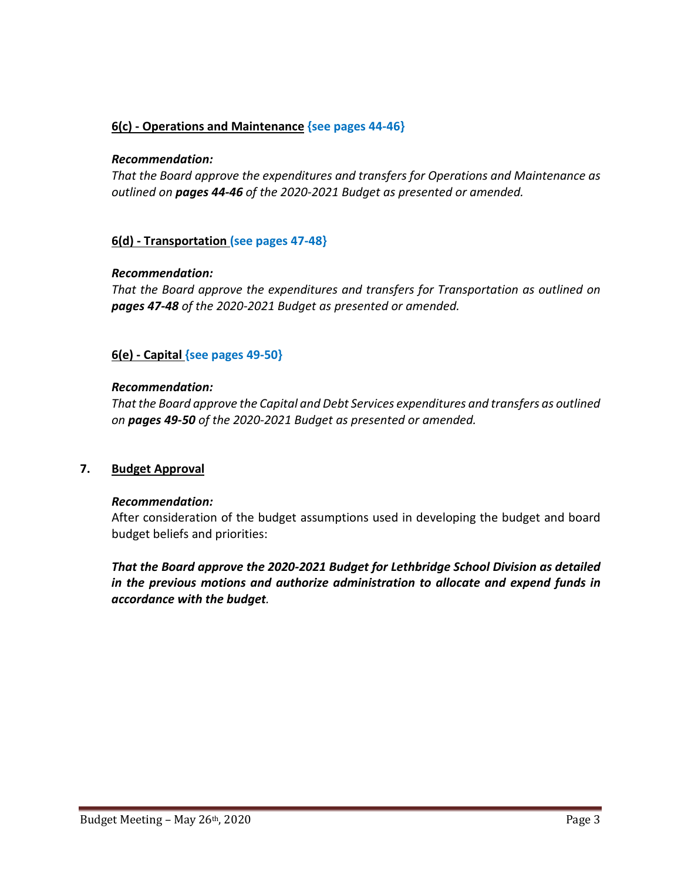# **6(c) - Operations and Maintenance {see pages 44-46}**

#### *Recommendation:*

*That the Board approve the expenditures and transfers for Operations and Maintenance as outlined on pages 44-46 of the 2020-2021 Budget as presented or amended.*

#### **6(d) - Transportation (see pages 47-48}**

#### *Recommendation:*

*That the Board approve the expenditures and transfers for Transportation as outlined on pages 47-48 of the 2020-2021 Budget as presented or amended.*

# **6(e) - Capital {see pages 49-50}**

#### *Recommendation:*

*That the Board approve the Capital and Debt Services expenditures and transfers as outlined on pages 49-50 of the 2020-2021 Budget as presented or amended.*

#### **7. Budget Approval**

#### *Recommendation:*

After consideration of the budget assumptions used in developing the budget and board budget beliefs and priorities:

*That the Board approve the 2020-2021 Budget for Lethbridge School Division as detailed in the previous motions and authorize administration to allocate and expend funds in accordance with the budget.*